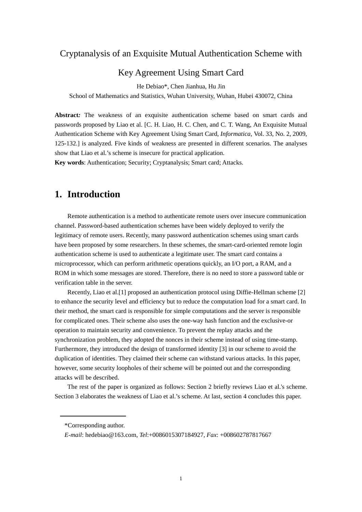### Cryptanalysis of an Exquisite Mutual Authentication Scheme with

### Key Agreement Using Smart Card

He Debiao\*, Chen Jianhua, Hu Jin

School of Mathematics and Statistics, Wuhan University, Wuhan, Hubei 430072, China

**Abstract***:* The weakness of an exquisite authentication scheme based on smart cards and passwords proposed by Liao et al. [C. H. Liao, H. C. Chen, and C. T. Wang, An Exquisite Mutual Authentication Scheme with Key Agreement Using Smart Card, *Informatica*, Vol. 33, No. 2, 2009, 125-132.] is analyzed. Five kinds of weakness are presented in different scenarios. The analyses show that Liao et al.'s scheme is insecure for practical application.

**Key words**: Authentication; Security; Cryptanalysis; Smart card; Attacks.

### **1. Introduction**

Remote authentication is a method to authenticate remote users over insecure communication channel. Password-based authentication schemes have been widely deployed to verify the legitimacy of remote users. Recently, many password authentication schemes using smart cards have been proposed by some researchers. In these schemes, the smart-card-oriented remote login authentication scheme is used to authenticate a legitimate user. The smart card contains a microprocessor, which can perform arithmetic operations quickly, an I/O port, a RAM, and a ROM in which some messages are stored. Therefore, there is no need to store a password table or verification table in the server.

Recently, Liao et al.[1] proposed an authentication protocol using Diffie-Hellman scheme [2] to enhance the security level and efficiency but to reduce the computation load for a smart card. In their method, the smart card is responsible for simple computations and the server is responsible for complicated ones. Their scheme also uses the one-way hash function and the exclusive-or operation to maintain security and convenience. To prevent the replay attacks and the synchronization problem, they adopted the nonces in their scheme instead of using time-stamp. Furthermore, they introduced the design of transformed identity [3] in our scheme to avoid the duplication of identities. They claimed their scheme can withstand various attacks. In this paper, however, some security loopholes of their scheme will be pointed out and the corresponding attacks will be described.

The rest of the paper is organized as follows: Section 2 briefly reviews Liao et al.'s scheme. Section 3 elaborates the weakness of Liao et al.'s scheme. At last, section 4 concludes this paper.

<sup>\*</sup>Corresponding author.

*E-mail*: hedebiao@163.com, *Tel*:+0086015307184927, *Fax*: +008602787817667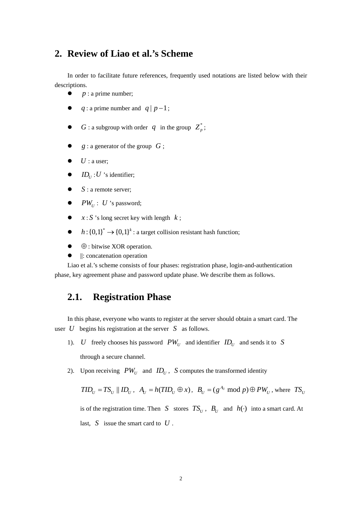# **2. Review of Liao et al.'s Scheme**

In order to facilitate future references, frequently used notations are listed below with their descriptions.

- $\bullet$  *p* : a prime number;
- $\bullet$  *q* : a prime number and *q* | *p* -1;
- $G:$  a subgroup with order  $q$  in the group  $Z_p^*$ ;
- $\bullet$  *g* : a generator of the group *G* ;
- $\bullet$  *U* : a user;
- $\bullet$  *ID*<sub>*U*</sub> : *U* 's identifier;
- $\bullet$  *S* : a remote server;
- $\bullet$  *PW<sub>U</sub>* : *U* 's password;
- $\bullet$   $x : S$  's long secret key with length  $k$ ;
- $\bullet$   $h: \{0,1\}^* \to \{0,1\}^k$ : a target collision resistant hash function;
- $\bullet$   $\oplus$  : bitwise XOR operation.
- $\parallel$ : concatenation operation

Liao et al.'s scheme consists of four phases: registration phase, login-and-authentication phase, key agreement phase and password update phase. We describe them as follows.

# **2.1. Registration Phase**

In this phase, everyone who wants to register at the server should obtain a smart card. The user *U* begins his registration at the server *S* as follows.

- 1). *U* freely chooses his password  $PW_U$  and identifier  $ID_U$  and sends it to *S* through a secure channel.
- 2). Upon receiving  $PW_{U}$  and  $ID_{U}$ , *S* computes the transformed identity

$$
TID_U = TS_U || ID_U
$$
,  $A_U = h(TID_U \oplus x)$ ,  $B_U = (g^{A_U} \mod p) \oplus PW_U$ , where  $TS_U$   
is of the registration time. Then  $S$  stores  $TS_U$ ,  $B_U$  and  $h(\cdot)$  into a smart card. At  
last,  $S$  issue the smart card to  $U$ .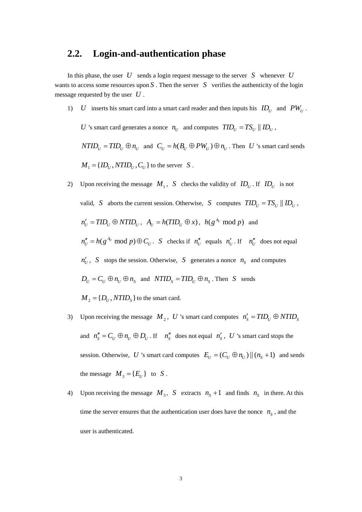### **2.2. Login-and-authentication phase**

In this phase, the user *U* sends a login request message to the server *S* whenever *U* wants to access some resources upon  $S$ . Then the server  $S$  verifies the authenticity of the login message requested by the user *U* .

1) *U* inserts his smart card into a smart card reader and then inputs his  $ID_{U}$  and  $PW_{U}$ .

*U* 's smart card generates a nonce  $n_U$  and computes  $TID_U = TS_U || ID_U$ ,

 $NTID_U = TID_U \oplus n_U$  and  $C_U = h(B_U \oplus PW_U) \oplus n_U$ . Then *U* 's smart card sends  $M_1 = \{ ID_{U}, NTID_{U}, C_{U} \}$  to the server *S*.

- 2) Upon receiving the message  $M_1$ , *S* checks the validity of  $ID_U$ . If  $ID_U$  is not valid, *S* aborts the current session. Otherwise, *S* computes  $TID_{U} = TS_{U} || ID_{U}$ ,  $n'_{U} = TID_{U} \oplus N TID_{U}$ ,  $A_{U} = h(TID_{U} \oplus x)$ ,  $h(g^{A_{U}} \mod p)$  and  $m''_U = h(g^{A_U} \text{ mod } p) \oplus C_U$ . *S* checks if  $n''_U$  equals  $n'_U$ . If  $n''_U$  does not equal  $n'_U$ , *S* stops the session. Otherwise, *S* generates a nonce  $n_S$  and computes  $D_U = C_U \oplus n_U \oplus n_S$  and  $NTID_S = TID_U \oplus n_S$ . Then *S* sends  $M_2 = \{D_U, NTID_s\}$  to the smart card.
- 3) Upon receiving the message  $M_2$ , U 's smart card computes  $n'_S = TID_U \oplus NTID_S$ and  $n''_S = C_U \oplus n_U \oplus D_U$ . If  $n''_S$  does not equal  $n'_S$ , U 's smart card stops the session. Otherwise, *U* 's smart card computes  $E_{U} = (C_{U} \oplus n_{U}) || (n_{S} + 1)$  and sends the message  $M_3 = \{ E_U \}$  to *S*.
- 4) Upon receiving the message  $M_3$ , S extracts  $n_s + 1$  and finds  $n_s$  in there. At this time the server ensures that the authentication user does have the nonce  $n<sub>s</sub>$ , and the user is authenticated.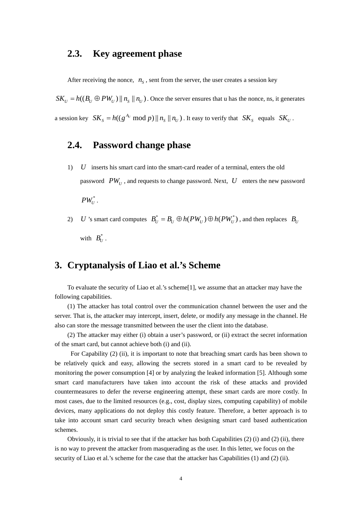### **2.3. Key agreement phase**

After receiving the nonce,  $n<sub>s</sub>$ , sent from the server, the user creates a session key

 $SK_{U} = h((B_{U} \oplus PW_{U}) || n_{S} || n_{U})$ . Once the server ensures that u has the nonce, ns, it generates a session key  $SK_s = h((g^{A_U} \text{ mod } p) || n_s || n_U)$ . It easy to verify that  $SK_s$  equals  $SK_U$ .

# **2.4. Password change phase**

- 1) *U* inserts his smart card into the smart-card reader of a terminal, enters the old password  $PW_U$ , and requests to change password. Next,  $U$  enters the new password  $PW_{U}^*$ .
- 2) *U* 's smart card computes  $B_U^* = B_U \oplus h(PW_U) \oplus h(PW_U^*)$ , and then replaces  $B_U$ with  $B_{\scriptscriptstyle U}^*$ .

# **3. Cryptanalysis of Liao et al.'s Scheme**

To evaluate the security of Liao et al.'s scheme[1], we assume that an attacker may have the following capabilities.

(1) The attacker has total control over the communication channel between the user and the server. That is, the attacker may intercept, insert, delete, or modify any message in the channel. He also can store the message transmitted between the user the client into the database.

(2) The attacker may either (i) obtain a user's password, or (ii) extract the secret information of the smart card, but cannot achieve both (i) and (ii).

For Capability (2) (ii), it is important to note that breaching smart cards has been shown to be relatively quick and easy, allowing the secrets stored in a smart card to be revealed by monitoring the power consumption [4] or by analyzing the leaked information [5]. Although some smart card manufacturers have taken into account the risk of these attacks and provided countermeasures to defer the reverse engineering attempt, these smart cards are more costly. In most cases, due to the limited resources (e.g., cost, display sizes, computing capability) of mobile devices, many applications do not deploy this costly feature. Therefore, a better approach is to take into account smart card security breach when designing smart card based authentication schemes.

Obviously, it is trivial to see that if the attacker has both Capabilities  $(2)$  (i) and  $(2)$  (ii), there is no way to prevent the attacker from masquerading as the user. In this letter, we focus on the security of Liao et al.'s scheme for the case that the attacker has Capabilities (1) and (2) (ii).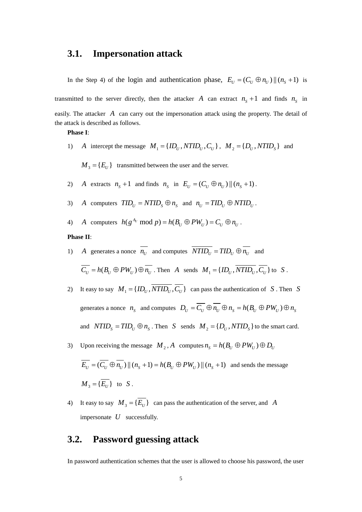### **3.1. Impersonation attack**

In the Step 4) of the login and authentication phase,  $E_U = (C_U \oplus n_U) || (n_s + 1)$  is

transmitted to the server directly, then the attacker *A* can extract  $n_s + 1$  and finds  $n_s$  in easily. The attacker *A* can carry out the impersonation attack using the property. The detail of the attack is described as follows.

#### **Phase I**:

- 1) *A* intercept the message  $M_1 = \{ID_U, NTID_U, C_U\}$ ,  $M_2 = \{D_U, NTID_S\}$  and
	- $M_3 = \{E_U\}$  transmitted between the user and the server.
- 2) *A* extracts  $n_s + 1$  and finds  $n_s$  in  $E_U = (C_U \oplus n_U) || (n_s + 1)$ .
- 3) *A* computers  $TID_U = NTID_S \oplus n_S$  and  $n_U = TID_U \oplus NTID_U$ .
- 4) *A* computers  $h(g^{A_U} \bmod p) = h(B_U \oplus PW_U) = C_U \oplus n_U$ .

#### **Phase II**:

- 1) *A* generates a nonce  $\overline{n_U}$  and computes  $\overline{NTID_U} = TID_U \oplus \overline{n_U}$  and  $\overline{C_U} = h(B_U \oplus PW_U) \oplus \overline{n_U}$ . Then *A* sends  $M_1 = \{ID_U, \overline{NTID_U}, \overline{C_U}\}$  to *S*.
- 2) It easy to say  $M_1 = \{ID_U, \overline{NTID_U}, \overline{C_U}\}\)$  can pass the authentication of *S*. Then *S* generates a nonce  $n_s$  and computes  $D_U = \overline{C_U} \oplus \overline{n_U} \oplus n_s = h(B_U \oplus PW_U) \oplus n_s$ and  $NTID_s = TID_v \oplus n_s$ . Then *S* sends  $M_2 = \{D_v, NTID_s\}$  to the smart card.
- 3) Upon receiving the message  $M_2$ , *A* computes  $n_s = h(B_U \oplus PW_U) \oplus D_U$

$$
\overline{E_U} = (\overline{C_U} \oplus \overline{n_U}) || (n_S + 1) = h(B_U \oplus PW_U) || (n_S + 1) \text{ and sends the message}
$$
  

$$
M_3 = {\overline{E_U}} \text{ to } S.
$$

4) It easy to say  $M_3 = {\overline{E}_U}$  can pass the authentication of the server, and *A* impersonate *U* successfully.

### **3.2. Password guessing attack**

In password authentication schemes that the user is allowed to choose his password, the user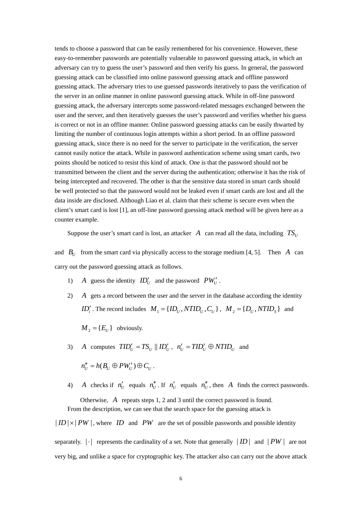tends to choose a password that can be easily remembered for his convenience. However, these easy-to-remember passwords are potentially vulnerable to password guessing attack, in which an adversary can try to guess the user's password and then verify his guess. In general, the password guessing attack can be classified into online password guessing attack and offline password guessing attack. The adversary tries to use guessed passwords iteratively to pass the verification of the server in an online manner in online password guessing attack. While in off-line password guessing attack, the adversary intercepts some password-related messages exchanged between the user and the server, and then iteratively guesses the user's password and verifies whether his guess is correct or not in an offline manner. Online password guessing attacks can be easily thwarted by limiting the number of continuous login attempts within a short period. In an offline password guessing attack, since there is no need for the server to participate in the verification, the server cannot easily notice the attack. While in password authentication scheme using smart cards, two points should be noticed to resist this kind of attack. One is that the password should not be transmitted between the client and the server during the authentication; otherwise it has the risk of being intercepted and recovered. The other is that the sensitive data stored in smart cards should be well protected so that the password would not be leaked even if smart cards are lost and all the data inside are disclosed. Although Liao et al. claim that their scheme is secure even when the client's smart card is lost [1], an off-line password guessing attack method will be given here as a counter example.

Suppose the user's smart card is lost, an attacker *A* can read all the data, including  $TS_{U}$ 

and  $B_U$  from the smart card via physically access to the storage medium [4, 5]. Then *A* can carry out the password guessing attack as follows.

- 1) *A* guess the identity  $ID'_U$  and the password  $PW'_U$ .
- 2) *A* gets a record between the user and the server in the database according the identity *ID'*, The record includes  $M_1 = \{ID_{U_1}, NTID_{U_2}, C_{U_1}\}, M_2 = \{D_{U_2}, NTID_{S_2}\}$  and

 $M_2 = \{ E_U \}$  obviously.

- 3) *A* computes  $TID'_U = TS_U || ID'_U$ ,  $n'_U = TID'_U \oplus N TID_U$  and  $n''_{U} = h(B_{U} \oplus PW'_{U}) \oplus C_{U}$ .
- 4) *A* checks if  $n'_U$  equals  $n''_U$ . If  $n'_U$  equals  $n''_U$ , then *A* finds the correct passwords. Otherwise, *A* repeats steps 1, 2 and 3 until the correct password is found. From the description, we can see that the search space for the guessing attack is

 $|ID| \times |PW|$ , where *ID* and *PW* are the set of possible passwords and possible identity

separately.  $|\cdot|$  represents the cardinality of a set. Note that generally  $|ID|$  and  $|PW|$  are not very big, and unlike a space for cryptographic key. The attacker also can carry out the above attack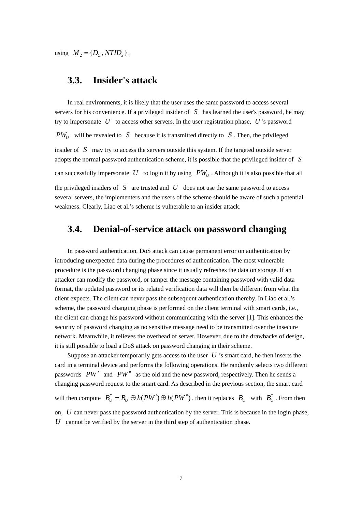using  $M_2 = \{D_{\scriptscriptstyle U}, NTID_{\scriptscriptstyle S}\}.$ 

# **3.3. Insider's attack**

In real environments, it is likely that the user uses the same password to access several servers for his convenience. If a privileged insider of *S* has learned the user's password, he may try to impersonate *U* to access other servers. In the user registration phase, *U* 's password  $PW_{U}$  will be revealed to *S* because it is transmitted directly to *S*. Then, the privileged insider of *S* may try to access the servers outside this system. If the targeted outside server adopts the normal password authentication scheme, it is possible that the privileged insider of *S* can successfully impersonate U to login it by using  $PW_{U}$ . Although it is also possible that all the privileged insiders of  $S$  are trusted and  $U$  does not use the same password to access several servers, the implementers and the users of the scheme should be aware of such a potential

# **3.4. Denial-of-service attack on password changing**

weakness. Clearly, Liao et al.'s scheme is vulnerable to an insider attack.

In password authentication, DoS attack can cause permanent error on authentication by introducing unexpected data during the procedures of authentication. The most vulnerable procedure is the password changing phase since it usually refreshes the data on storage. If an attacker can modify the password, or tamper the message containing password with valid data format, the updated password or its related verification data will then be different from what the client expects. The client can never pass the subsequent authentication thereby. In Liao et al.'s scheme, the password changing phase is performed on the client terminal with smart cards, i.e., the client can change his password without communicating with the server [1]. This enhances the security of password changing as no sensitive message need to be transmitted over the insecure network. Meanwhile, it relieves the overhead of server. However, due to the drawbacks of design, it is still possible to load a DoS attack on password changing in their scheme.

Suppose an attacker temporarily gets access to the user *U* 's smart card, he then inserts the card in a terminal device and performs the following operations. He randomly selects two different passwords *PW*′ and *PW*′′ as the old and the new password, respectively. Then he sends a changing password request to the smart card. As described in the previous section, the smart card will then compute  $B_U^* = B_U \oplus h(PW') \oplus h(PW'')$ , then it replaces  $B_U$  with  $B_U^*$ . From then on, *U* can never pass the password authentication by the server. This is because in the login phase,  $U$  cannot be verified by the server in the third step of authentication phase.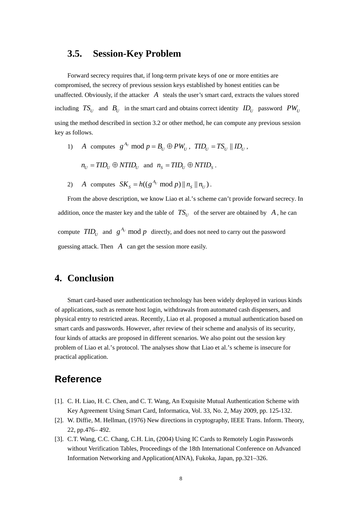### **3.5. Session-Key Problem**

Forward secrecy requires that, if long-term private keys of one or more entities are compromised, the secrecy of previous session keys established by honest entities can be unaffected. Obviously, if the attacker  $\overline{A}$  steals the user's smart card, extracts the values stored including  $TS_U$  and  $B_U$  in the smart card and obtains correct identity  $ID_U$  password  $PW_U$ using the method described in section 3.2 or other method, he can compute any previous session key as follows.

1) *A* computes  $g^{A_U} \text{ mod } p = B_U \oplus PW_U$ ,  $TID_U = TS_U || ID_U$ ,

 $n_U = TID_U \oplus NTID_U$  and  $n_S = TID_U \oplus NTID_S$ .

2) *A* computes  $SK_s = h((g^{A_v} \text{ mod } p) || n_s || n_v)$ .

From the above description, we know Liao et al.'s scheme can't provide forward secrecy. In addition, once the master key and the table of  $TS_{U}$  of the server are obtained by A, he can compute  $TID_{U}$  and  $g^{A_U}$  mod p directly, and does not need to carry out the password guessing attack. Then *A* can get the session more easily.

# **4. Conclusion**

Smart card-based user authentication technology has been widely deployed in various kinds of applications, such as remote host login, withdrawals from automated cash dispensers, and physical entry to restricted areas. Recently, Liao et al. proposed a mutual authentication based on smart cards and passwords. However, after review of their scheme and analysis of its security, four kinds of attacks are proposed in different scenarios. We also point out the session key problem of Liao et al.'s protocol. The analyses show that Liao et al.'s scheme is insecure for practical application.

# **Reference**

- [1]. C. H. Liao, H. C. Chen, and C. T. Wang, An Exquisite Mutual Authentication Scheme with Key Agreement Using Smart Card, Informatica, Vol. 33, No. 2, May 2009, pp. 125-132.
- [2]. W. Diffie, M. Hellman, (1976) New directions in cryptography, IEEE Trans. Inform. Theory, 22, pp.476– 492.
- [3]. C.T. Wang, C.C. Chang, C.H. Lin, (2004) Using IC Cards to Remotely Login Passwords without Verification Tables, Proceedings of the 18th International Conference on Advanced Information Networking and Application(AINA), Fukoka, Japan, pp.321–326.